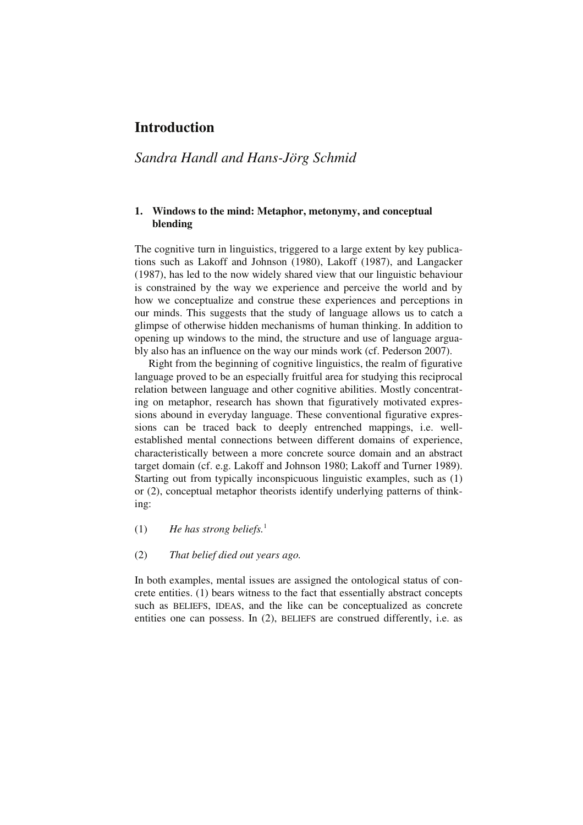# **Introduction**

## *Sandra Handl and Hans-Jörg Schmid*

## **1. Windows to the mind: Metaphor, metonymy, and conceptual blending**

The cognitive turn in linguistics, triggered to a large extent by key publications such as Lakoff and Johnson (1980), Lakoff (1987), and Langacker (1987), has led to the now widely shared view that our linguistic behaviour is constrained by the way we experience and perceive the world and by how we conceptualize and construe these experiences and perceptions in our minds. This suggests that the study of language allows us to catch a glimpse of otherwise hidden mechanisms of human thinking. In addition to opening up windows to the mind, the structure and use of language arguably also has an influence on the way our minds work (cf. Pederson 2007).

Right from the beginning of cognitive linguistics, the realm of figurative language proved to be an especially fruitful area for studying this reciprocal relation between language and other cognitive abilities. Mostly concentrating on metaphor, research has shown that figuratively motivated expressions abound in everyday language. These conventional figurative expressions can be traced back to deeply entrenched mappings, i.e. wellestablished mental connections between different domains of experience, characteristically between a more concrete source domain and an abstract target domain (cf. e.g. Lakoff and Johnson 1980; Lakoff and Turner 1989). Starting out from typically inconspicuous linguistic examples, such as (1) or (2), conceptual metaphor theorists identify underlying patterns of thinking:

(1) *He has strong beliefs.*<sup>1</sup>

## (2) *That belief died out years ago.*

In both examples, mental issues are assigned the ontological status of concrete entities. (1) bears witness to the fact that essentially abstract concepts such as BELIEFS, IDEAS, and the like can be conceptualized as concrete entities one can possess. In (2), BELIEFS are construed differently, i.e. as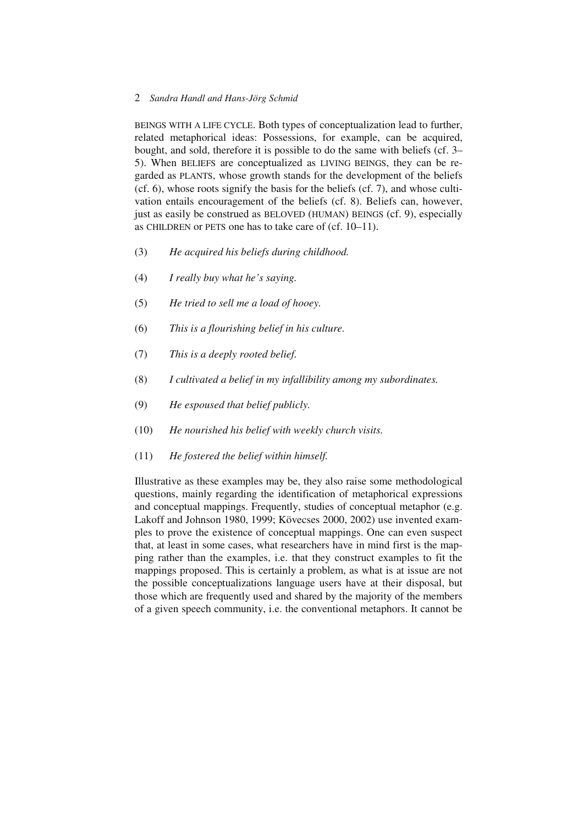BEINGS WITH A LIFE CYCLE. Both types of conceptualization lead to further, related metaphorical ideas: Possessions, for example, can be acquired, bought, and sold, therefore it is possible to do the same with beliefs (cf. 3– 5). When BELIEFS are conceptualized as LIVING BEINGS, they can be regarded as PLANTS, whose growth stands for the development of the beliefs (cf. 6), whose roots signify the basis for the beliefs (cf. 7), and whose cultivation entails encouragement of the beliefs (cf. 8). Beliefs can, however, just as easily be construed as BELOVED (HUMAN) BEINGS (cf. 9), especially as CHILDREN or PETS one has to take care of (cf. 10–11).

- (3) *He acquired his beliefs during childhood.*
- (4) *I really buy what he's saying.*
- (5) *He tried to sell me a load of hooey.*
- (6) *This is a flourishing belief in his culture.*
- (7) *This is a deeply rooted belief.*
- (8) *I cultivated a belief in my infallibility among my subordinates.*
- (9) *He espoused that belief publicly.*
- (10) *He nourished his belief with weekly church visits.*
- (11) *He fostered the belief within himself.*

Illustrative as these examples may be, they also raise some methodological questions, mainly regarding the identification of metaphorical expressions and conceptual mappings. Frequently, studies of conceptual metaphor (e.g. Lakoff and Johnson 1980, 1999; Kövecses 2000, 2002) use invented examples to prove the existence of conceptual mappings. One can even suspect that, at least in some cases, what researchers have in mind first is the mapping rather than the examples, i.e. that they construct examples to fit the mappings proposed. This is certainly a problem, as what is at issue are not the possible conceptualizations language users have at their disposal, but those which are frequently used and shared by the majority of the members of a given speech community, i.e. the conventional metaphors. It cannot be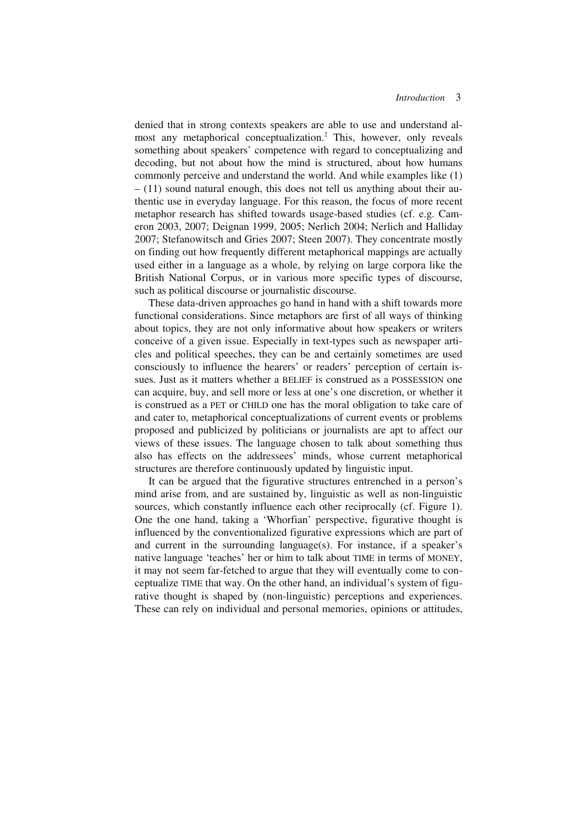denied that in strong contexts speakers are able to use and understand almost any metaphorical conceptualization.<sup>2</sup> This, however, only reveals something about speakers' competence with regard to conceptualizing and decoding, but not about how the mind is structured, about how humans commonly perceive and understand the world. And while examples like (1)  $-$  (11) sound natural enough, this does not tell us anything about their authentic use in everyday language. For this reason, the focus of more recent metaphor research has shifted towards usage-based studies (cf. e.g. Cameron 2003, 2007; Deignan 1999, 2005; Nerlich 2004; Nerlich and Halliday 2007; Stefanowitsch and Gries 2007; Steen 2007). They concentrate mostly on finding out how frequently different metaphorical mappings are actually used either in a language as a whole, by relying on large corpora like the British National Corpus, or in various more specific types of discourse, such as political discourse or journalistic discourse.

These data-driven approaches go hand in hand with a shift towards more functional considerations. Since metaphors are first of all ways of thinking about topics, they are not only informative about how speakers or writers conceive of a given issue. Especially in text-types such as newspaper articles and political speeches, they can be and certainly sometimes are used consciously to influence the hearers' or readers' perception of certain issues. Just as it matters whether a BELIEF is construed as a POSSESSION one can acquire, buy, and sell more or less at one's one discretion, or whether it is construed as a PET or CHILD one has the moral obligation to take care of and cater to, metaphorical conceptualizations of current events or problems proposed and publicized by politicians or journalists are apt to affect our views of these issues. The language chosen to talk about something thus also has effects on the addressees' minds, whose current metaphorical structures are therefore continuously updated by linguistic input.

It can be argued that the figurative structures entrenched in a person's mind arise from, and are sustained by, linguistic as well as non-linguistic sources, which constantly influence each other reciprocally (cf. Figure 1). One the one hand, taking a 'Whorfian' perspective, figurative thought is influenced by the conventionalized figurative expressions which are part of and current in the surrounding language(s). For instance, if a speaker's native language 'teaches' her or him to talk about TIME in terms of MONEY, it may not seem far-fetched to argue that they will eventually come to conceptualize TIME that way. On the other hand, an individual's system of figurative thought is shaped by (non-linguistic) perceptions and experiences. These can rely on individual and personal memories, opinions or attitudes,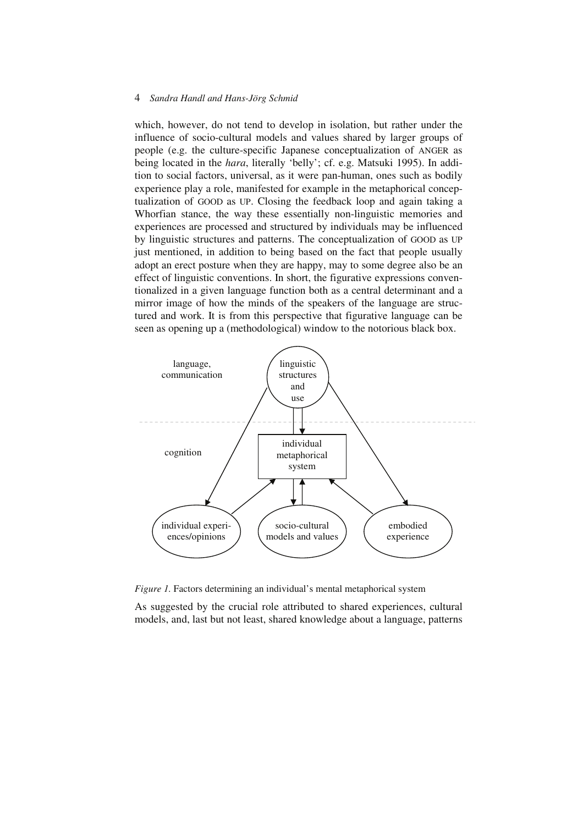which, however, do not tend to develop in isolation, but rather under the influence of socio-cultural models and values shared by larger groups of people (e.g. the culture-specific Japanese conceptualization of ANGER as being located in the *hara*, literally 'belly'; cf. e.g. Matsuki 1995). In addition to social factors, universal, as it were pan-human, ones such as bodily experience play a role, manifested for example in the metaphorical conceptualization of GOOD as UP. Closing the feedback loop and again taking a Whorfian stance, the way these essentially non-linguistic memories and experiences are processed and structured by individuals may be influenced by linguistic structures and patterns. The conceptualization of GOOD as UP just mentioned, in addition to being based on the fact that people usually adopt an erect posture when they are happy, may to some degree also be an effect of linguistic conventions. In short, the figurative expressions conventionalized in a given language function both as a central determinant and a mirror image of how the minds of the speakers of the language are structured and work. It is from this perspective that figurative language can be seen as opening up a (methodological) window to the notorious black box.



*Figure 1.* Factors determining an individual's mental metaphorical system

As suggested by the crucial role attributed to shared experiences, cultural models, and, last but not least, shared knowledge about a language, patterns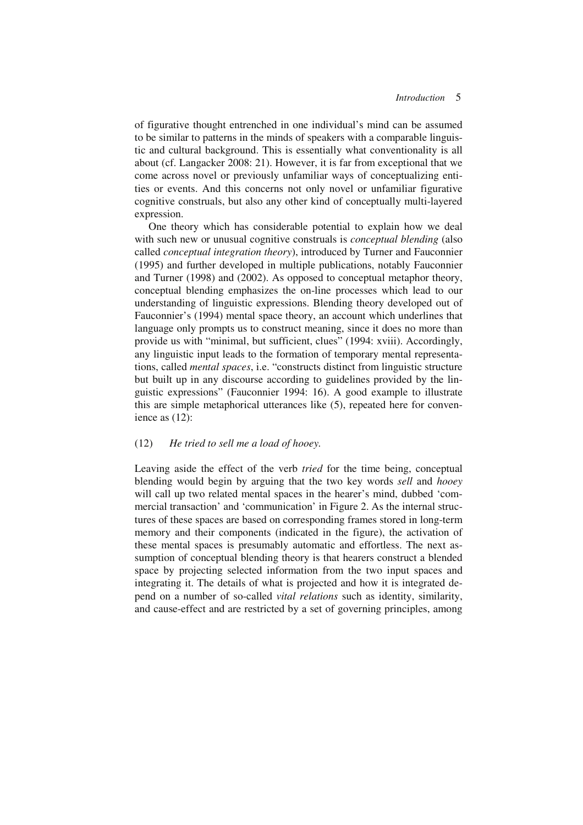of figurative thought entrenched in one individual's mind can be assumed to be similar to patterns in the minds of speakers with a comparable linguistic and cultural background. This is essentially what conventionality is all about (cf. Langacker 2008: 21). However, it is far from exceptional that we come across novel or previously unfamiliar ways of conceptualizing entities or events. And this concerns not only novel or unfamiliar figurative cognitive construals, but also any other kind of conceptually multi-layered expression.

One theory which has considerable potential to explain how we deal with such new or unusual cognitive construals is *conceptual blending* (also called *conceptual integration theory*), introduced by Turner and Fauconnier (1995) and further developed in multiple publications, notably Fauconnier and Turner (1998) and (2002). As opposed to conceptual metaphor theory, conceptual blending emphasizes the on-line processes which lead to our understanding of linguistic expressions. Blending theory developed out of Fauconnier's (1994) mental space theory, an account which underlines that language only prompts us to construct meaning, since it does no more than provide us with "minimal, but sufficient, clues" (1994: xviii). Accordingly, any linguistic input leads to the formation of temporary mental representations, called *mental spaces*, i.e. "constructs distinct from linguistic structure but built up in any discourse according to guidelines provided by the linguistic expressions" (Fauconnier 1994: 16). A good example to illustrate this are simple metaphorical utterances like (5), repeated here for convenience as (12):

## (12) *He tried to sell me a load of hooey.*

Leaving aside the effect of the verb *tried* for the time being, conceptual blending would begin by arguing that the two key words *sell* and *hooey* will call up two related mental spaces in the hearer's mind, dubbed 'commercial transaction' and 'communication' in Figure 2. As the internal structures of these spaces are based on corresponding frames stored in long-term memory and their components (indicated in the figure), the activation of these mental spaces is presumably automatic and effortless. The next assumption of conceptual blending theory is that hearers construct a blended space by projecting selected information from the two input spaces and integrating it. The details of what is projected and how it is integrated depend on a number of so-called *vital relations* such as identity, similarity, and cause-effect and are restricted by a set of governing principles, among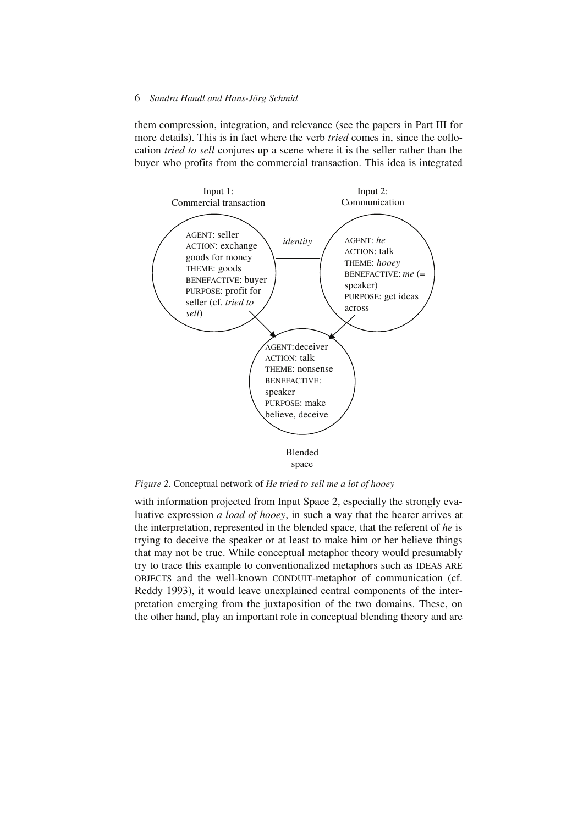them compression, integration, and relevance (see the papers in Part III for more details). This is in fact where the verb *tried* comes in, since the collocation *tried to sell* conjures up a scene where it is the seller rather than the buyer who profits from the commercial transaction. This idea is integrated



*Figure 2.* Conceptual network of *He tried to sell me a lot of hooey*

with information projected from Input Space 2, especially the strongly evaluative expression *a load of hooey*, in such a way that the hearer arrives at the interpretation, represented in the blended space, that the referent of *he* is trying to deceive the speaker or at least to make him or her believe things that may not be true. While conceptual metaphor theory would presumably try to trace this example to conventionalized metaphors such as IDEAS ARE OBJECTS and the well-known CONDUIT-metaphor of communication (cf. Reddy 1993), it would leave unexplained central components of the interpretation emerging from the juxtaposition of the two domains. These, on the other hand, play an important role in conceptual blending theory and are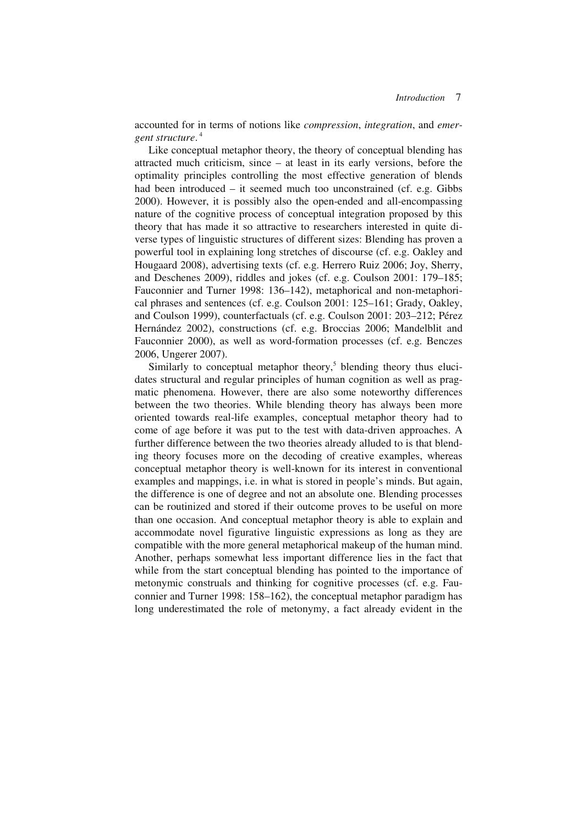accounted for in terms of notions like *compression*, *integration*, and *emergent structure*. 4

Like conceptual metaphor theory, the theory of conceptual blending has attracted much criticism, since – at least in its early versions, before the optimality principles controlling the most effective generation of blends had been introduced – it seemed much too unconstrained (cf. e.g. Gibbs 2000). However, it is possibly also the open-ended and all-encompassing nature of the cognitive process of conceptual integration proposed by this theory that has made it so attractive to researchers interested in quite diverse types of linguistic structures of different sizes: Blending has proven a powerful tool in explaining long stretches of discourse (cf. e.g. Oakley and Hougaard 2008), advertising texts (cf. e.g. Herrero Ruiz 2006; Joy, Sherry, and Deschenes 2009), riddles and jokes (cf. e.g. Coulson 2001: 179–185; Fauconnier and Turner 1998: 136–142), metaphorical and non-metaphorical phrases and sentences (cf. e.g. Coulson 2001: 125–161; Grady, Oakley, and Coulson 1999), counterfactuals (cf. e.g. Coulson 2001: 203–212; Pérez Hernández 2002), constructions (cf. e.g. Broccias 2006; Mandelblit and Fauconnier 2000), as well as word-formation processes (cf. e.g. Benczes 2006, Ungerer 2007).

Similarly to conceptual metaphor theory,<sup>5</sup> blending theory thus elucidates structural and regular principles of human cognition as well as pragmatic phenomena. However, there are also some noteworthy differences between the two theories. While blending theory has always been more oriented towards real-life examples, conceptual metaphor theory had to come of age before it was put to the test with data-driven approaches. A further difference between the two theories already alluded to is that blending theory focuses more on the decoding of creative examples, whereas conceptual metaphor theory is well-known for its interest in conventional examples and mappings, i.e. in what is stored in people's minds. But again, the difference is one of degree and not an absolute one. Blending processes can be routinized and stored if their outcome proves to be useful on more than one occasion. And conceptual metaphor theory is able to explain and accommodate novel figurative linguistic expressions as long as they are compatible with the more general metaphorical makeup of the human mind. Another, perhaps somewhat less important difference lies in the fact that while from the start conceptual blending has pointed to the importance of metonymic construals and thinking for cognitive processes (cf. e.g. Fauconnier and Turner 1998: 158–162), the conceptual metaphor paradigm has long underestimated the role of metonymy, a fact already evident in the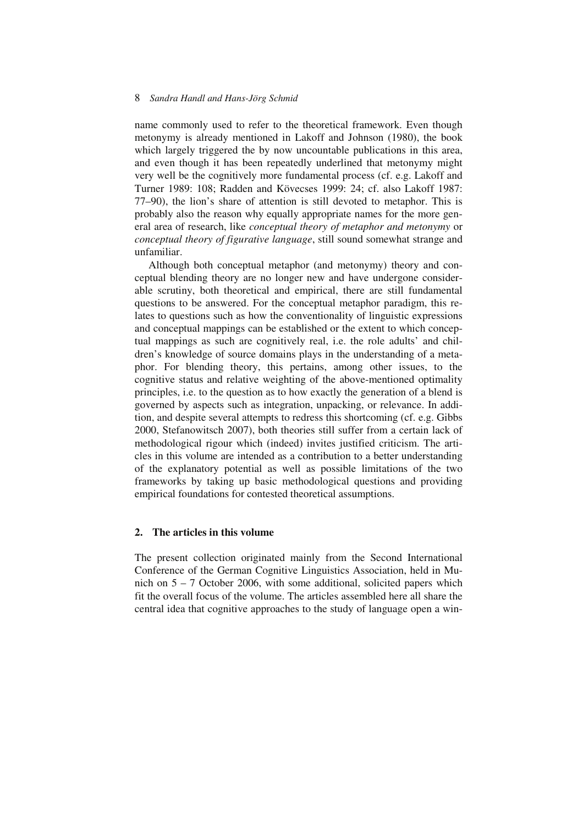name commonly used to refer to the theoretical framework. Even though metonymy is already mentioned in Lakoff and Johnson (1980), the book which largely triggered the by now uncountable publications in this area, and even though it has been repeatedly underlined that metonymy might very well be the cognitively more fundamental process (cf. e.g. Lakoff and Turner 1989: 108; Radden and Kövecses 1999: 24; cf. also Lakoff 1987: 77–90), the lion's share of attention is still devoted to metaphor. This is probably also the reason why equally appropriate names for the more general area of research, like *conceptual theory of metaphor and metonymy* or *conceptual theory of figurative language*, still sound somewhat strange and unfamiliar.

Although both conceptual metaphor (and metonymy) theory and conceptual blending theory are no longer new and have undergone considerable scrutiny, both theoretical and empirical, there are still fundamental questions to be answered. For the conceptual metaphor paradigm, this relates to questions such as how the conventionality of linguistic expressions and conceptual mappings can be established or the extent to which conceptual mappings as such are cognitively real, i.e. the role adults' and children's knowledge of source domains plays in the understanding of a metaphor. For blending theory, this pertains, among other issues, to the cognitive status and relative weighting of the above-mentioned optimality principles, i.e. to the question as to how exactly the generation of a blend is governed by aspects such as integration, unpacking, or relevance. In addition, and despite several attempts to redress this shortcoming (cf. e.g. Gibbs 2000, Stefanowitsch 2007), both theories still suffer from a certain lack of methodological rigour which (indeed) invites justified criticism. The articles in this volume are intended as a contribution to a better understanding of the explanatory potential as well as possible limitations of the two frameworks by taking up basic methodological questions and providing empirical foundations for contested theoretical assumptions.

## **2. The articles in this volume**

The present collection originated mainly from the Second International Conference of the German Cognitive Linguistics Association, held in Munich on 5 – 7 October 2006, with some additional, solicited papers which fit the overall focus of the volume. The articles assembled here all share the central idea that cognitive approaches to the study of language open a win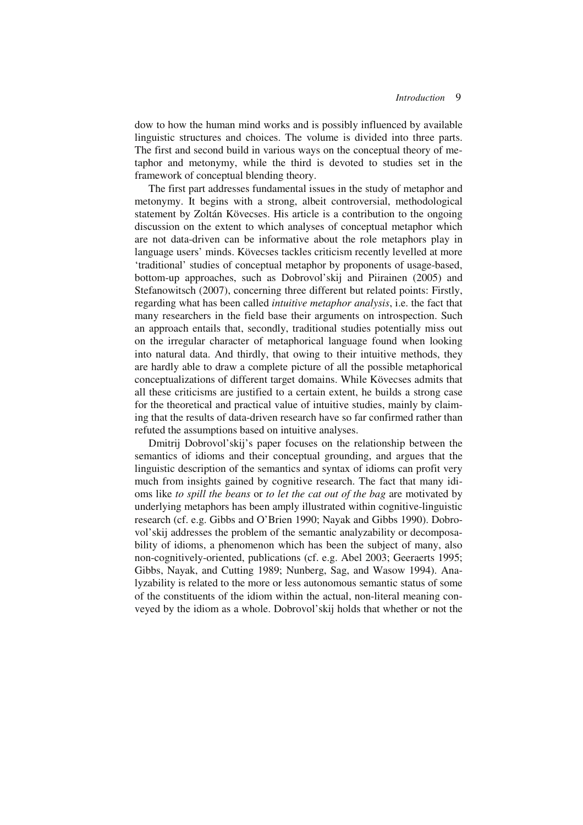dow to how the human mind works and is possibly influenced by available linguistic structures and choices. The volume is divided into three parts. The first and second build in various ways on the conceptual theory of metaphor and metonymy, while the third is devoted to studies set in the framework of conceptual blending theory.

The first part addresses fundamental issues in the study of metaphor and metonymy. It begins with a strong, albeit controversial, methodological statement by Zoltán Kövecses. His article is a contribution to the ongoing discussion on the extent to which analyses of conceptual metaphor which are not data-driven can be informative about the role metaphors play in language users' minds. Kövecses tackles criticism recently levelled at more 'traditional' studies of conceptual metaphor by proponents of usage-based, bottom-up approaches, such as Dobrovol'skij and Piirainen (2005) and Stefanowitsch (2007), concerning three different but related points: Firstly, regarding what has been called *intuitive metaphor analysis*, i.e. the fact that many researchers in the field base their arguments on introspection. Such an approach entails that, secondly, traditional studies potentially miss out on the irregular character of metaphorical language found when looking into natural data. And thirdly, that owing to their intuitive methods, they are hardly able to draw a complete picture of all the possible metaphorical conceptualizations of different target domains. While Kövecses admits that all these criticisms are justified to a certain extent, he builds a strong case for the theoretical and practical value of intuitive studies, mainly by claiming that the results of data-driven research have so far confirmed rather than refuted the assumptions based on intuitive analyses.

Dmitrij Dobrovol'skij's paper focuses on the relationship between the semantics of idioms and their conceptual grounding, and argues that the linguistic description of the semantics and syntax of idioms can profit very much from insights gained by cognitive research. The fact that many idioms like *to spill the beans* or *to let the cat out of the bag* are motivated by underlying metaphors has been amply illustrated within cognitive-linguistic research (cf. e.g. Gibbs and O'Brien 1990; Nayak and Gibbs 1990). Dobrovol'skij addresses the problem of the semantic analyzability or decomposability of idioms, a phenomenon which has been the subject of many, also non-cognitively-oriented, publications (cf. e.g. Abel 2003; Geeraerts 1995; Gibbs, Nayak, and Cutting 1989; Nunberg, Sag, and Wasow 1994). Analyzability is related to the more or less autonomous semantic status of some of the constituents of the idiom within the actual, non-literal meaning conveyed by the idiom as a whole. Dobrovol'skij holds that whether or not the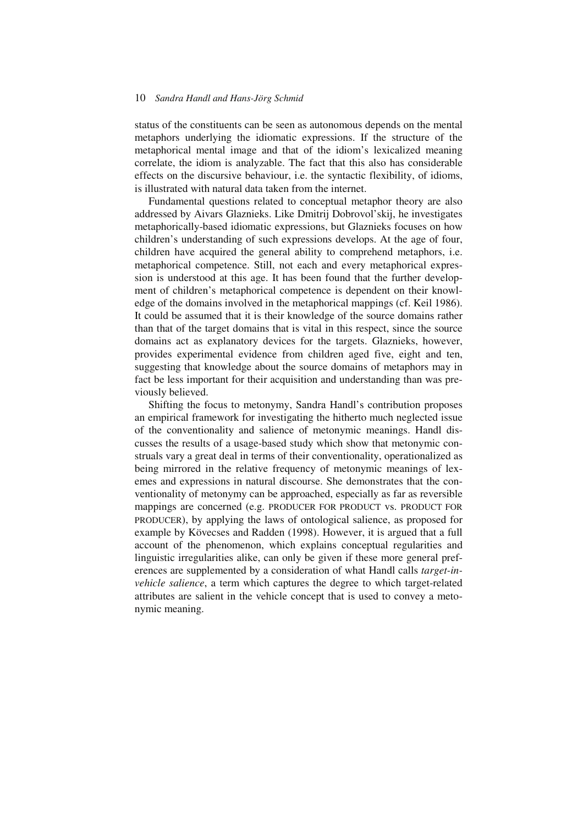status of the constituents can be seen as autonomous depends on the mental metaphors underlying the idiomatic expressions. If the structure of the metaphorical mental image and that of the idiom's lexicalized meaning correlate, the idiom is analyzable. The fact that this also has considerable effects on the discursive behaviour, i.e. the syntactic flexibility, of idioms, is illustrated with natural data taken from the internet.

Fundamental questions related to conceptual metaphor theory are also addressed by Aivars Glaznieks. Like Dmitrij Dobrovol'skij, he investigates metaphorically-based idiomatic expressions, but Glaznieks focuses on how children's understanding of such expressions develops. At the age of four, children have acquired the general ability to comprehend metaphors, i.e. metaphorical competence. Still, not each and every metaphorical expression is understood at this age. It has been found that the further development of children's metaphorical competence is dependent on their knowledge of the domains involved in the metaphorical mappings (cf. Keil 1986). It could be assumed that it is their knowledge of the source domains rather than that of the target domains that is vital in this respect, since the source domains act as explanatory devices for the targets. Glaznieks, however, provides experimental evidence from children aged five, eight and ten, suggesting that knowledge about the source domains of metaphors may in fact be less important for their acquisition and understanding than was previously believed.

Shifting the focus to metonymy, Sandra Handl's contribution proposes an empirical framework for investigating the hitherto much neglected issue of the conventionality and salience of metonymic meanings. Handl discusses the results of a usage-based study which show that metonymic construals vary a great deal in terms of their conventionality, operationalized as being mirrored in the relative frequency of metonymic meanings of lexemes and expressions in natural discourse. She demonstrates that the conventionality of metonymy can be approached, especially as far as reversible mappings are concerned (e.g. PRODUCER FOR PRODUCT vs. PRODUCT FOR PRODUCER), by applying the laws of ontological salience, as proposed for example by Kövecses and Radden (1998). However, it is argued that a full account of the phenomenon, which explains conceptual regularities and linguistic irregularities alike, can only be given if these more general preferences are supplemented by a consideration of what Handl calls *target-invehicle salience*, a term which captures the degree to which target-related attributes are salient in the vehicle concept that is used to convey a metonymic meaning.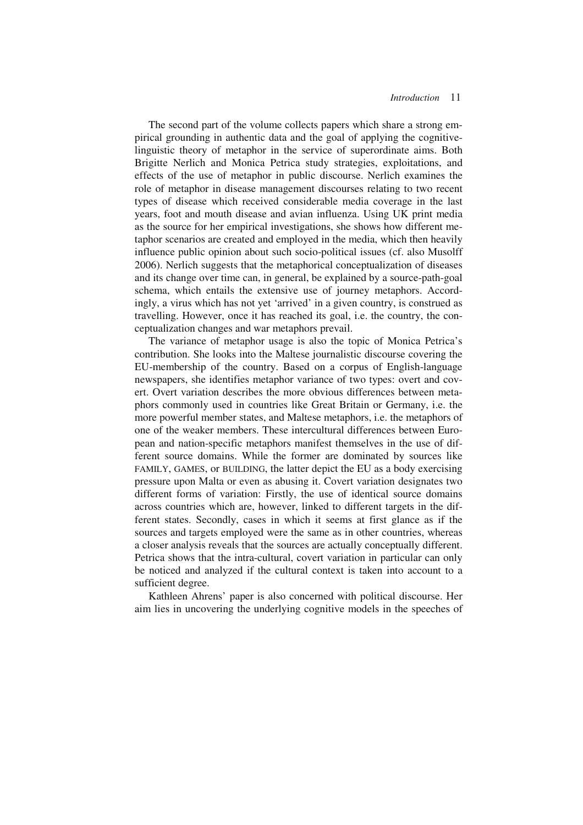The second part of the volume collects papers which share a strong empirical grounding in authentic data and the goal of applying the cognitivelinguistic theory of metaphor in the service of superordinate aims. Both Brigitte Nerlich and Monica Petrica study strategies, exploitations, and effects of the use of metaphor in public discourse. Nerlich examines the role of metaphor in disease management discourses relating to two recent types of disease which received considerable media coverage in the last years, foot and mouth disease and avian influenza. Using UK print media as the source for her empirical investigations, she shows how different metaphor scenarios are created and employed in the media, which then heavily influence public opinion about such socio-political issues (cf. also Musolff 2006). Nerlich suggests that the metaphorical conceptualization of diseases and its change over time can, in general, be explained by a source-path-goal schema, which entails the extensive use of journey metaphors. Accordingly, a virus which has not yet 'arrived' in a given country, is construed as travelling. However, once it has reached its goal, i.e. the country, the conceptualization changes and war metaphors prevail.

The variance of metaphor usage is also the topic of Monica Petrica's contribution. She looks into the Maltese journalistic discourse covering the EU-membership of the country. Based on a corpus of English-language newspapers, she identifies metaphor variance of two types: overt and covert. Overt variation describes the more obvious differences between metaphors commonly used in countries like Great Britain or Germany, i.e. the more powerful member states, and Maltese metaphors, i.e. the metaphors of one of the weaker members. These intercultural differences between European and nation-specific metaphors manifest themselves in the use of different source domains. While the former are dominated by sources like FAMILY, GAMES, or BUILDING, the latter depict the EU as a body exercising pressure upon Malta or even as abusing it. Covert variation designates two different forms of variation: Firstly, the use of identical source domains across countries which are, however, linked to different targets in the different states. Secondly, cases in which it seems at first glance as if the sources and targets employed were the same as in other countries, whereas a closer analysis reveals that the sources are actually conceptually different. Petrica shows that the intra-cultural, covert variation in particular can only be noticed and analyzed if the cultural context is taken into account to a sufficient degree.

Kathleen Ahrens' paper is also concerned with political discourse. Her aim lies in uncovering the underlying cognitive models in the speeches of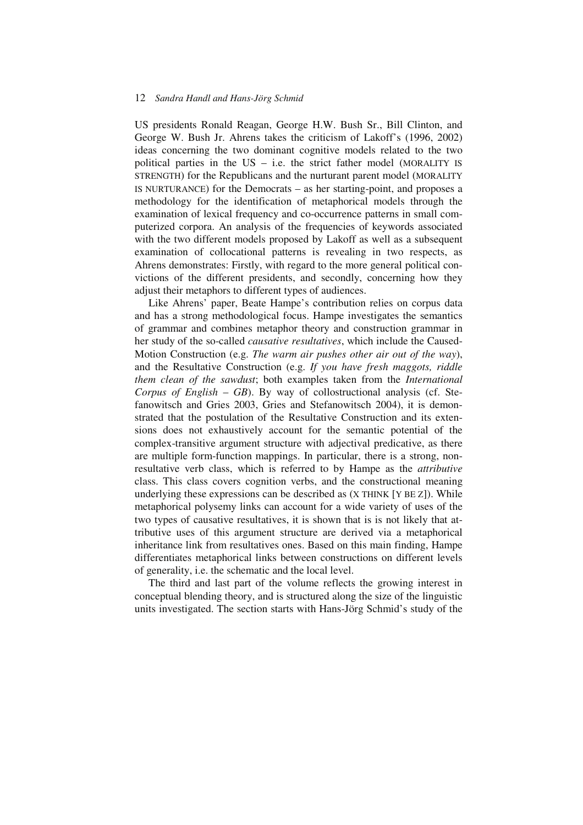US presidents Ronald Reagan, George H.W. Bush Sr., Bill Clinton, and George W. Bush Jr. Ahrens takes the criticism of Lakoff's (1996, 2002) ideas concerning the two dominant cognitive models related to the two political parties in the US – i.e. the strict father model (MORALITY IS STRENGTH) for the Republicans and the nurturant parent model (MORALITY IS NURTURANCE) for the Democrats – as her starting-point, and proposes a methodology for the identification of metaphorical models through the examination of lexical frequency and co-occurrence patterns in small computerized corpora. An analysis of the frequencies of keywords associated with the two different models proposed by Lakoff as well as a subsequent examination of collocational patterns is revealing in two respects, as Ahrens demonstrates: Firstly, with regard to the more general political convictions of the different presidents, and secondly, concerning how they adjust their metaphors to different types of audiences.

Like Ahrens' paper, Beate Hampe's contribution relies on corpus data and has a strong methodological focus. Hampe investigates the semantics of grammar and combines metaphor theory and construction grammar in her study of the so-called *causative resultatives*, which include the Caused-Motion Construction (e.g. *The warm air pushes other air out of the way*), and the Resultative Construction (e.g. *If you have fresh maggots, riddle them clean of the sawdust*; both examples taken from the *International Corpus of English* – *GB*). By way of collostructional analysis (cf. Stefanowitsch and Gries 2003, Gries and Stefanowitsch 2004), it is demonstrated that the postulation of the Resultative Construction and its extensions does not exhaustively account for the semantic potential of the complex-transitive argument structure with adjectival predicative, as there are multiple form-function mappings. In particular, there is a strong, nonresultative verb class, which is referred to by Hampe as the *attributive* class. This class covers cognition verbs, and the constructional meaning underlying these expressions can be described as (X THINK [Y BE Z]). While metaphorical polysemy links can account for a wide variety of uses of the two types of causative resultatives, it is shown that is is not likely that attributive uses of this argument structure are derived via a metaphorical inheritance link from resultatives ones. Based on this main finding, Hampe differentiates metaphorical links between constructions on different levels of generality, i.e. the schematic and the local level.

The third and last part of the volume reflects the growing interest in conceptual blending theory, and is structured along the size of the linguistic units investigated. The section starts with Hans-Jörg Schmid's study of the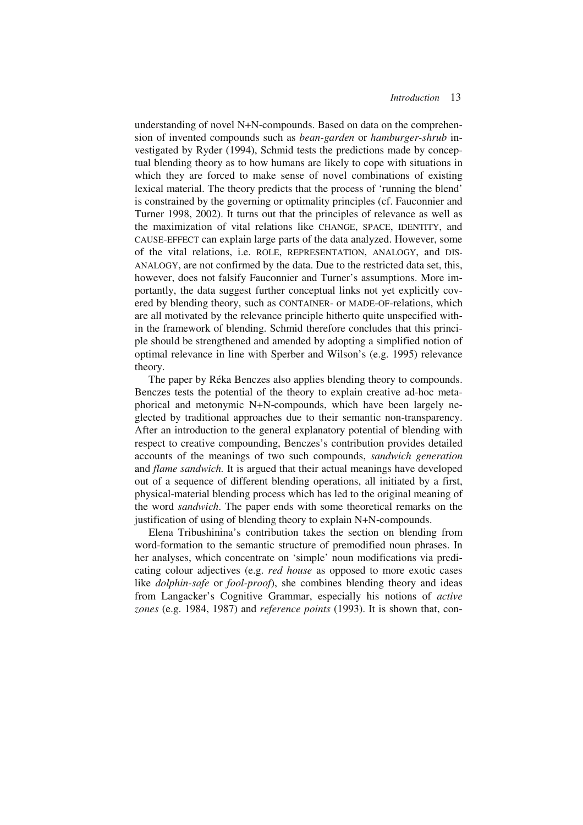understanding of novel N+N-compounds. Based on data on the comprehension of invented compounds such as *bean-garden* or *hamburger-shrub* investigated by Ryder (1994), Schmid tests the predictions made by conceptual blending theory as to how humans are likely to cope with situations in which they are forced to make sense of novel combinations of existing lexical material. The theory predicts that the process of 'running the blend' is constrained by the governing or optimality principles (cf. Fauconnier and Turner 1998, 2002). It turns out that the principles of relevance as well as the maximization of vital relations like CHANGE, SPACE, IDENTITY, and CAUSE-EFFECT can explain large parts of the data analyzed. However, some of the vital relations, i.e. ROLE, REPRESENTATION, ANALOGY, and DIS-ANALOGY, are not confirmed by the data. Due to the restricted data set, this, however, does not falsify Fauconnier and Turner's assumptions. More importantly, the data suggest further conceptual links not yet explicitly covered by blending theory, such as CONTAINER- or MADE-OF-relations, which are all motivated by the relevance principle hitherto quite unspecified within the framework of blending. Schmid therefore concludes that this principle should be strengthened and amended by adopting a simplified notion of optimal relevance in line with Sperber and Wilson's (e.g. 1995) relevance theory.

The paper by Réka Benczes also applies blending theory to compounds. Benczes tests the potential of the theory to explain creative ad-hoc metaphorical and metonymic N+N-compounds, which have been largely neglected by traditional approaches due to their semantic non-transparency. After an introduction to the general explanatory potential of blending with respect to creative compounding, Benczes's contribution provides detailed accounts of the meanings of two such compounds, *sandwich generation* and *flame sandwich.* It is argued that their actual meanings have developed out of a sequence of different blending operations, all initiated by a first, physical-material blending process which has led to the original meaning of the word *sandwich*. The paper ends with some theoretical remarks on the justification of using of blending theory to explain N+N-compounds.

Elena Tribushinina's contribution takes the section on blending from word-formation to the semantic structure of premodified noun phrases. In her analyses, which concentrate on 'simple' noun modifications via predicating colour adjectives (e.g. *red house* as opposed to more exotic cases like *dolphin-safe* or *fool-proof*), she combines blending theory and ideas from Langacker's Cognitive Grammar, especially his notions of *active zones* (e.g. 1984, 1987) and *reference points* (1993). It is shown that, con-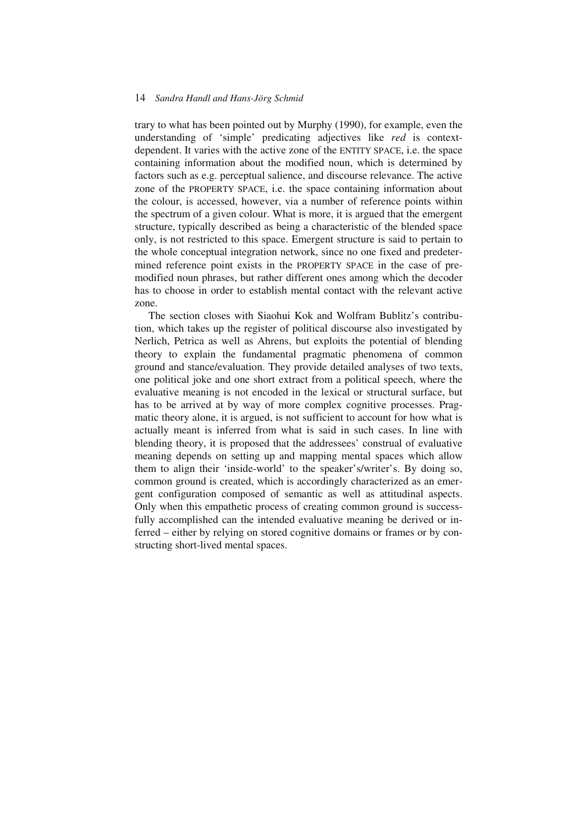trary to what has been pointed out by Murphy (1990), for example, even the understanding of 'simple' predicating adjectives like *red* is contextdependent. It varies with the active zone of the ENTITY SPACE, i.e. the space containing information about the modified noun, which is determined by factors such as e.g. perceptual salience, and discourse relevance. The active zone of the PROPERTY SPACE, i.e. the space containing information about the colour, is accessed, however, via a number of reference points within the spectrum of a given colour. What is more, it is argued that the emergent structure, typically described as being a characteristic of the blended space only, is not restricted to this space. Emergent structure is said to pertain to the whole conceptual integration network, since no one fixed and predetermined reference point exists in the PROPERTY SPACE in the case of premodified noun phrases, but rather different ones among which the decoder has to choose in order to establish mental contact with the relevant active zone.

The section closes with Siaohui Kok and Wolfram Bublitz's contribution, which takes up the register of political discourse also investigated by Nerlich, Petrica as well as Ahrens, but exploits the potential of blending theory to explain the fundamental pragmatic phenomena of common ground and stance/evaluation. They provide detailed analyses of two texts, one political joke and one short extract from a political speech, where the evaluative meaning is not encoded in the lexical or structural surface, but has to be arrived at by way of more complex cognitive processes. Pragmatic theory alone, it is argued, is not sufficient to account for how what is actually meant is inferred from what is said in such cases. In line with blending theory, it is proposed that the addressees' construal of evaluative meaning depends on setting up and mapping mental spaces which allow them to align their 'inside-world' to the speaker's/writer's. By doing so, common ground is created, which is accordingly characterized as an emergent configuration composed of semantic as well as attitudinal aspects. Only when this empathetic process of creating common ground is successfully accomplished can the intended evaluative meaning be derived or inferred – either by relying on stored cognitive domains or frames or by constructing short-lived mental spaces.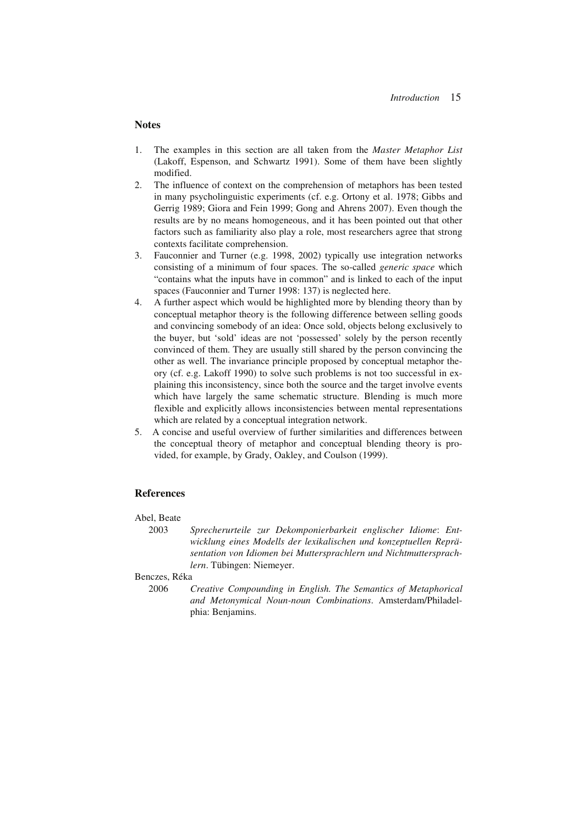## **Notes**

- 1. The examples in this section are all taken from the *Master Metaphor List* (Lakoff, Espenson, and Schwartz 1991). Some of them have been slightly modified.
- 2. The influence of context on the comprehension of metaphors has been tested in many psycholinguistic experiments (cf. e.g. Ortony et al. 1978; Gibbs and Gerrig 1989; Giora and Fein 1999; Gong and Ahrens 2007). Even though the results are by no means homogeneous, and it has been pointed out that other factors such as familiarity also play a role, most researchers agree that strong contexts facilitate comprehension.
- 3. Fauconnier and Turner (e.g. 1998, 2002) typically use integration networks consisting of a minimum of four spaces. The so-called *generic space* which "contains what the inputs have in common" and is linked to each of the input spaces (Fauconnier and Turner 1998: 137) is neglected here.
- 4. A further aspect which would be highlighted more by blending theory than by conceptual metaphor theory is the following difference between selling goods and convincing somebody of an idea: Once sold, objects belong exclusively to the buyer, but 'sold' ideas are not 'possessed' solely by the person recently convinced of them. They are usually still shared by the person convincing the other as well. The invariance principle proposed by conceptual metaphor theory (cf. e.g. Lakoff 1990) to solve such problems is not too successful in explaining this inconsistency, since both the source and the target involve events which have largely the same schematic structure. Blending is much more flexible and explicitly allows inconsistencies between mental representations which are related by a conceptual integration network.
- 5. A concise and useful overview of further similarities and differences between the conceptual theory of metaphor and conceptual blending theory is provided, for example, by Grady, Oakley, and Coulson (1999).

## **References**

### Abel, Beate

 2003 *Sprecherurteile zur Dekomponierbarkeit englischer Idiome*: *Entwicklung eines Modells der lexikalischen und konzeptuellen Repräsentation von Idiomen bei Muttersprachlern und Nichtmuttersprachlern*. Tübingen: Niemeyer.

### Benczes, Réka

 2006 *Creative Compounding in English. The Semantics of Metaphorical and Metonymical Noun-noun Combinations*. Amsterdam/Philadelphia: Benjamins.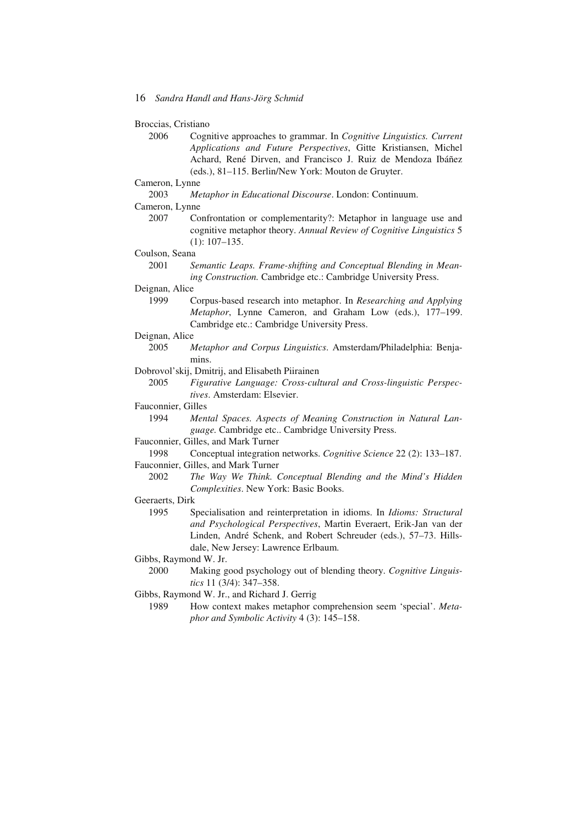## Broccias, Cristiano

 2006 Cognitive approaches to grammar. In *Cognitive Linguistics. Current Applications and Future Perspectives*, Gitte Kristiansen, Michel Achard, René Dirven, and Francisco J. Ruiz de Mendoza Ibáñez (eds.), 81–115. Berlin/New York: Mouton de Gruyter.

## Cameron, Lynne

2003 *Metaphor in Educational Discourse*. London: Continuum.

#### Cameron, Lynne

 2007 Confrontation or complementarity?: Metaphor in language use and cognitive metaphor theory. *Annual Review of Cognitive Linguistics* 5 (1): 107–135.

## Coulson, Seana

 2001 *Semantic Leaps. Frame-shifting and Conceptual Blending in Meaning Construction.* Cambridge etc.: Cambridge University Press.

## Deignan, Alice

 1999 Corpus-based research into metaphor. In *Researching and Applying Metaphor*, Lynne Cameron, and Graham Low (eds.), 177–199. Cambridge etc.: Cambridge University Press.

### Deignan, Alice

- 2005 *Metaphor and Corpus Linguistics*. Amsterdam/Philadelphia: Benjamins.
- Dobrovol'skij, Dmitrij, and Elisabeth Piirainen
	- 2005 *Figurative Language: Cross-cultural and Cross-linguistic Perspectives*. Amsterdam: Elsevier.

#### Fauconnier, Gilles

 1994 *Mental Spaces. Aspects of Meaning Construction in Natural Language.* Cambridge etc.. Cambridge University Press.

#### Fauconnier, Gilles, and Mark Turner

- 1998 Conceptual integration networks. *Cognitive Science* 22 (2): 133–187. Fauconnier, Gilles, and Mark Turner
	- 2002 *The Way We Think. Conceptual Blending and the Mind's Hidden Complexities*. New York: Basic Books.

#### Geeraerts, Dirk

 1995 Specialisation and reinterpretation in idioms. In *Idioms: Structural and Psychological Perspectives*, Martin Everaert, Erik-Jan van der Linden, André Schenk, and Robert Schreuder (eds.), 57–73. Hillsdale, New Jersey: Lawrence Erlbaum.

#### Gibbs, Raymond W. Jr.

 2000 Making good psychology out of blending theory. *Cognitive Linguistics* 11 (3/4): 347–358.

## Gibbs, Raymond W. Jr., and Richard J. Gerrig

 1989 How context makes metaphor comprehension seem 'special'. *Metaphor and Symbolic Activity* 4 (3): 145–158.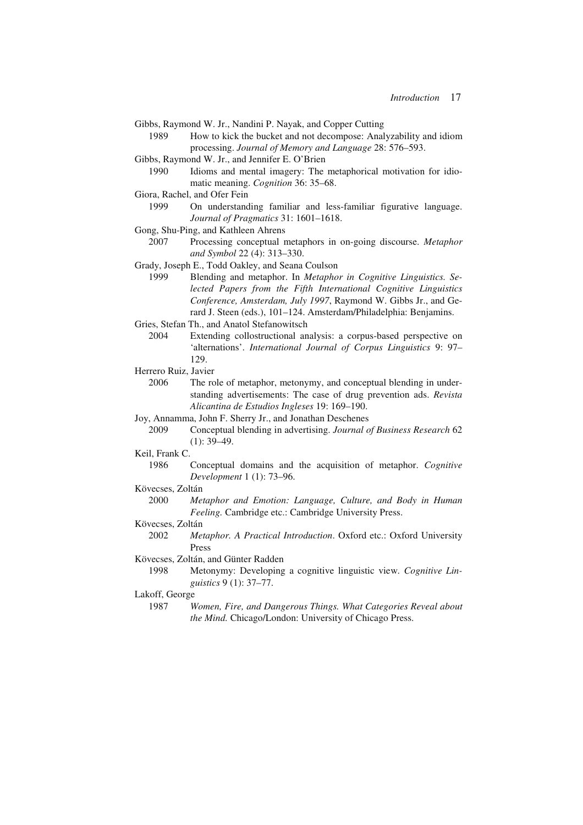Gibbs, Raymond W. Jr., Nandini P. Nayak, and Copper Cutting

- 1989 How to kick the bucket and not decompose: Analyzability and idiom processing. *Journal of Memory and Language* 28: 576–593.
- Gibbs, Raymond W. Jr., and Jennifer E. O'Brien
	- 1990 Idioms and mental imagery: The metaphorical motivation for idiomatic meaning. *Cognition* 36: 35–68.
- Giora, Rachel, and Ofer Fein
	- 1999 On understanding familiar and less-familiar figurative language. *Journal of Pragmatics* 31: 1601–1618.
- Gong, Shu-Ping, and Kathleen Ahrens
	- 2007 Processing conceptual metaphors in on-going discourse. *Metaphor and Symbol* 22 (4): 313–330.
- Grady, Joseph E., Todd Oakley, and Seana Coulson
	- 1999 Blending and metaphor. In *Metaphor in Cognitive Linguistics. Selected Papers from the Fifth International Cognitive Linguistics Conference, Amsterdam, July 1997*, Raymond W. Gibbs Jr., and Gerard J. Steen (eds.), 101–124. Amsterdam/Philadelphia: Benjamins.
- Gries, Stefan Th., and Anatol Stefanowitsch
	- 2004 Extending collostructional analysis: a corpus-based perspective on 'alternations'. *International Journal of Corpus Linguistics* 9: 97– 129.
- Herrero Ruiz, Javier
	- 2006 The role of metaphor, metonymy, and conceptual blending in understanding advertisements: The case of drug prevention ads. *Revista Alicantina de Estudios Ingleses* 19: 169–190.
- Joy, Annamma, John F. Sherry Jr., and Jonathan Deschenes
	- 2009 Conceptual blending in advertising. *Journal of Business Research* 62 (1): 39–49.
- Keil, Frank C.
	- 1986 Conceptual domains and the acquisition of metaphor. *Cognitive Development* 1 (1): 73–96.
- Kövecses, Zoltán
	- 2000 *Metaphor and Emotion: Language, Culture, and Body in Human Feeling.* Cambridge etc.: Cambridge University Press.
- Kövecses, Zoltán
	- 2002 *Metaphor. A Practical Introduction*. Oxford etc.: Oxford University Press
- Kövecses, Zoltán, and Günter Radden
	- 1998 Metonymy: Developing a cognitive linguistic view. *Cognitive Linguistics* 9 (1): 37–77.

## Lakoff, George

 1987 *Women, Fire, and Dangerous Things. What Categories Reveal about the Mind.* Chicago/London: University of Chicago Press.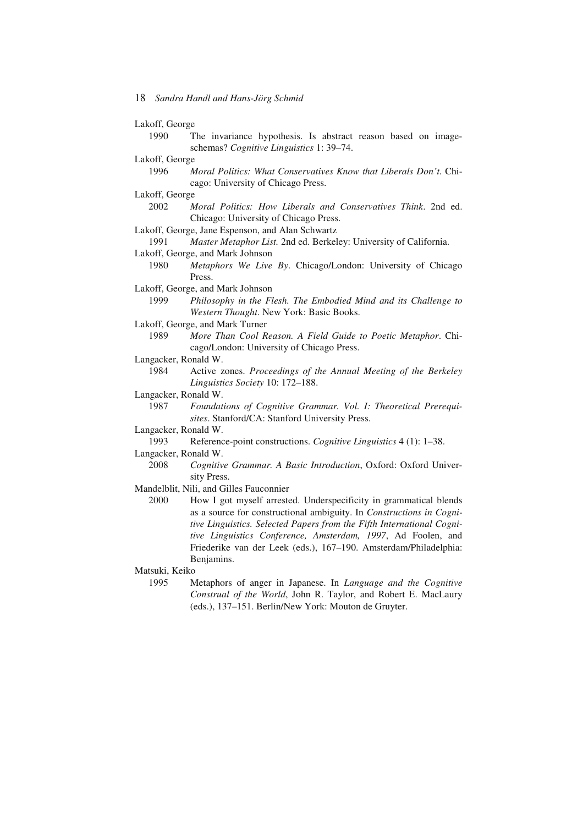## Lakoff, George

- 1990 The invariance hypothesis. Is abstract reason based on imageschemas? *Cognitive Linguistics* 1: 39–74.
- Lakoff, George
	- 1996 *Moral Politics: What Conservatives Know that Liberals Don't.* Chicago: University of Chicago Press.
- Lakoff, George
	- 2002 *Moral Politics: How Liberals and Conservatives Think*. 2nd ed. Chicago: University of Chicago Press.
- Lakoff, George, Jane Espenson, and Alan Schwartz
- 1991 *Master Metaphor List.* 2nd ed. Berkeley: University of California.
- Lakoff, George, and Mark Johnson
	- 1980 *Metaphors We Live By*. Chicago/London: University of Chicago Press.
- Lakoff, George, and Mark Johnson
	- 1999 *Philosophy in the Flesh. The Embodied Mind and its Challenge to Western Thought*. New York: Basic Books.
- Lakoff, George, and Mark Turner
- 1989 *More Than Cool Reason. A Field Guide to Poetic Metaphor*. Chicago/London: University of Chicago Press.
- Langacker, Ronald W.
- 1984 Active zones. *Proceedings of the Annual Meeting of the Berkeley Linguistics Society* 10: 172–188.
- Langacker, Ronald W.
	- 1987 *Foundations of Cognitive Grammar. Vol. I: Theoretical Prerequisites*. Stanford/CA: Stanford University Press.
- Langacker, Ronald W.
- 1993 Reference-point constructions. *Cognitive Linguistics* 4 (1): 1–38.
- Langacker, Ronald W.
	- 2008 *Cognitive Grammar. A Basic Introduction*, Oxford: Oxford University Press.
- Mandelblit, Nili, and Gilles Fauconnier
	- 2000 How I got myself arrested. Underspecificity in grammatical blends as a source for constructional ambiguity. In *Constructions in Cognitive Linguistics. Selected Papers from the Fifth International Cognitive Linguistics Conference, Amsterdam, 1997*, Ad Foolen, and Friederike van der Leek (eds.), 167–190. Amsterdam/Philadelphia: Benjamins.
- Matsuki, Keiko
	- 1995 Metaphors of anger in Japanese. In *Language and the Cognitive Construal of the World*, John R. Taylor, and Robert E. MacLaury (eds.), 137–151. Berlin/New York: Mouton de Gruyter.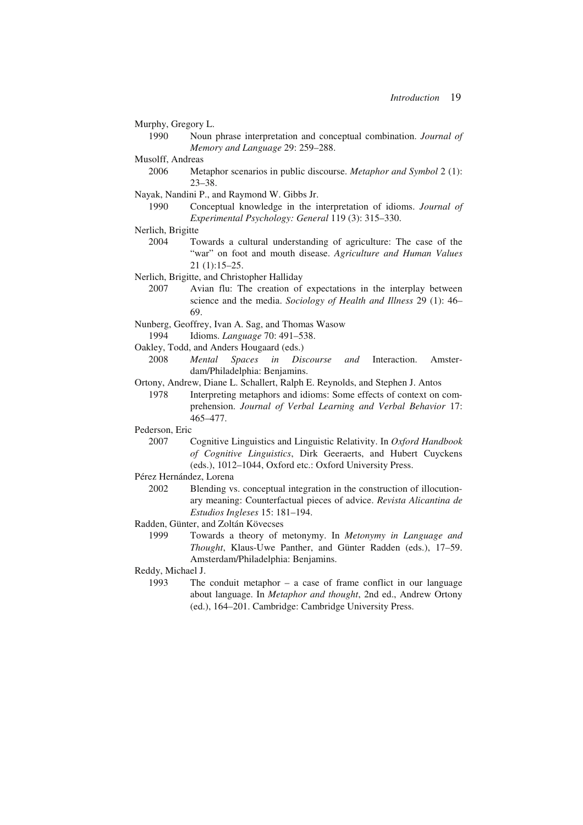Murphy, Gregory L.

- 1990 Noun phrase interpretation and conceptual combination. *Journal of Memory and Language* 29: 259–288.
- Musolff, Andreas
	- 2006 Metaphor scenarios in public discourse. *Metaphor and Symbol* 2 (1): 23–38.
- Nayak, Nandini P., and Raymond W. Gibbs Jr.
	- 1990 Conceptual knowledge in the interpretation of idioms. *Journal of Experimental Psychology: General* 119 (3): 315–330.

### Nerlich, Brigitte

- 2004 Towards a cultural understanding of agriculture: The case of the "war" on foot and mouth disease. *Agriculture and Human Values* 21 (1):15–25.
- Nerlich, Brigitte, and Christopher Halliday
	- 2007 Avian flu: The creation of expectations in the interplay between science and the media. *Sociology of Health and Illness* 29 (1): 46– 69.
- Nunberg, Geoffrey, Ivan A. Sag, and Thomas Wasow
	- 1994 Idioms. *Language* 70: 491–538.
- Oakley, Todd, and Anders Hougaard (eds.)
- 2008 *Mental Spaces in Discourse and* Interaction. Amsterdam/Philadelphia: Benjamins.
- Ortony, Andrew, Diane L. Schallert, Ralph E. Reynolds, and Stephen J. Antos
	- 1978 Interpreting metaphors and idioms: Some effects of context on comprehension. *Journal of Verbal Learning and Verbal Behavior* 17: 465–477.
- Pederson, Eric
	- 2007 Cognitive Linguistics and Linguistic Relativity. In *Oxford Handbook of Cognitive Linguistics*, Dirk Geeraerts, and Hubert Cuyckens (eds.), 1012–1044, Oxford etc.: Oxford University Press.

Pérez Hernández, Lorena

- 2002 Blending vs. conceptual integration in the construction of illocutionary meaning: Counterfactual pieces of advice. *Revista Alicantina de Estudios Ingleses* 15: 181–194.
- Radden, Günter, and Zoltán Kövecses
	- 1999 Towards a theory of metonymy. In *Metonymy in Language and Thought*, Klaus-Uwe Panther, and Günter Radden (eds.), 17–59. Amsterdam/Philadelphia: Benjamins.
- Reddy, Michael J.
	- 1993 The conduit metaphor a case of frame conflict in our language about language. In *Metaphor and thought*, 2nd ed., Andrew Ortony (ed.), 164–201. Cambridge: Cambridge University Press.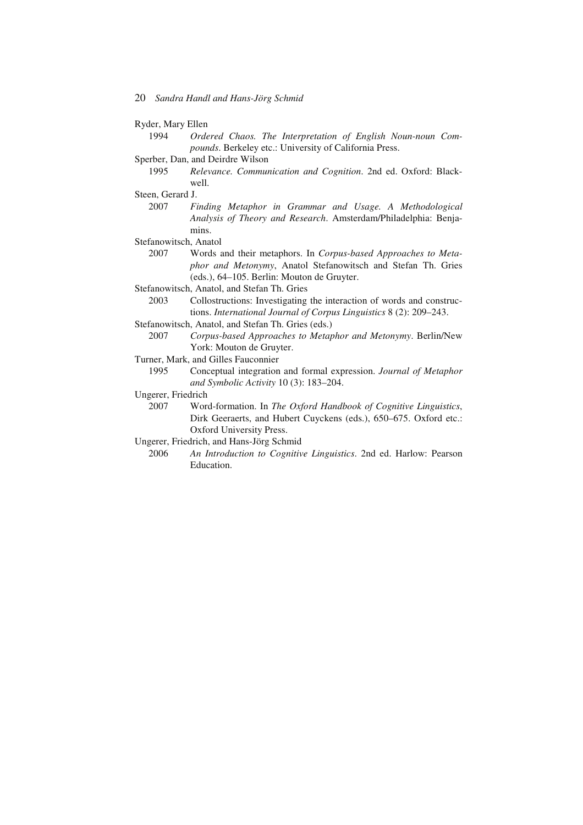- Ryder, Mary Ellen
	- 1994 *Ordered Chaos. The Interpretation of English Noun-noun Compounds*. Berkeley etc.: University of California Press.
- Sperber, Dan, and Deirdre Wilson
	- 1995 *Relevance. Communication and Cognition*. 2nd ed. Oxford: Blackwell.
- Steen, Gerard J.
	- 2007 *Finding Metaphor in Grammar and Usage. A Methodological Analysis of Theory and Research*. Amsterdam/Philadelphia: Benjamins.
- Stefanowitsch, Anatol
	- 2007 Words and their metaphors. In *Corpus-based Approaches to Metaphor and Metonymy*, Anatol Stefanowitsch and Stefan Th. Gries (eds.), 64–105. Berlin: Mouton de Gruyter.
- Stefanowitsch, Anatol, and Stefan Th. Gries
- 2003 Collostructions: Investigating the interaction of words and constructions. *International Journal of Corpus Linguistics* 8 (2): 209–243.
- Stefanowitsch, Anatol, and Stefan Th. Gries (eds.)
- 2007 *Corpus-based Approaches to Metaphor and Metonymy*. Berlin/New York: Mouton de Gruyter.
- Turner, Mark, and Gilles Fauconnier

 1995 Conceptual integration and formal expression. *Journal of Metaphor and Symbolic Activity* 10 (3): 183–204.

Ungerer, Friedrich

 2007 Word-formation. In *The Oxford Handbook of Cognitive Linguistics*, Dirk Geeraerts, and Hubert Cuyckens (eds.), 650–675. Oxford etc.: Oxford University Press.

- Ungerer, Friedrich, and Hans-Jörg Schmid
	- 2006 *An Introduction to Cognitive Linguistics*. 2nd ed. Harlow: Pearson Education.